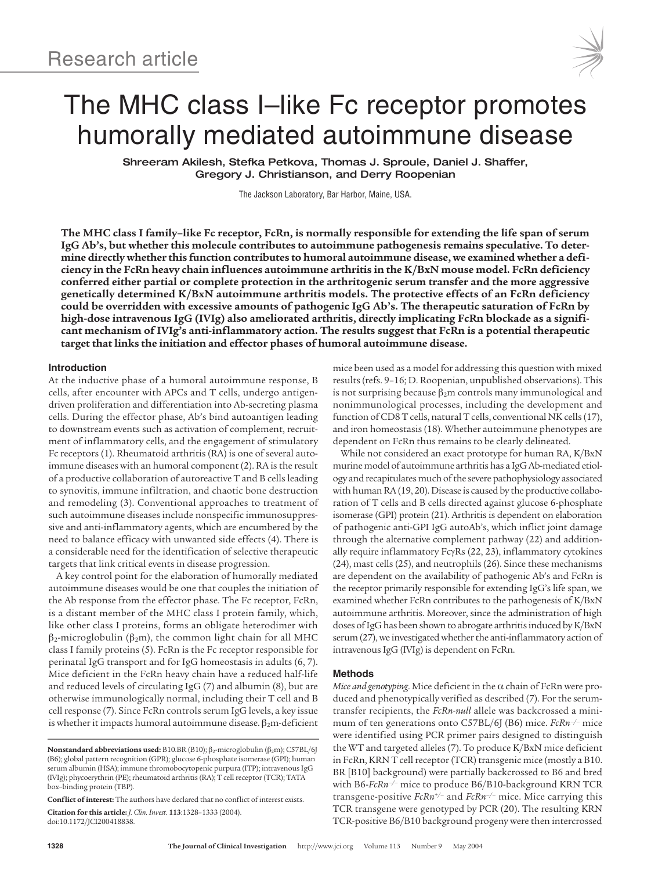

# The MHC class I–like Fc receptor promotes humorally mediated autoimmune disease

Shreeram Akilesh, Stefka Petkova, Thomas J. Sproule, Daniel J. Shaffer, Gregory J. Christianson, and Derry Roopenian

The Jackson Laboratory, Bar Harbor, Maine, USA.

**The MHC class I family–like Fc receptor, FcRn, is normally responsible for extending the life span of serum IgG Ab's, but whether this molecule contributes to autoimmune pathogenesis remains speculative. To determine directly whether this function contributes to humoral autoimmune disease, we examined whether a deficiency in the FcRn heavy chain influences autoimmune arthritis in the K/BxN mouse model. FcRn deficiency conferred either partial or complete protection in the arthritogenic serum transfer and the more aggressive genetically determined K/BxN autoimmune arthritis models. The protective effects of an FcRn deficiency could be overridden with excessive amounts of pathogenic IgG Ab's. The therapeutic saturation of FcRn by high-dose intravenous IgG (IVIg) also ameliorated arthritis, directly implicating FcRn blockade as a significant mechanism of IVIg's anti-inflammatory action. The results suggest that FcRn is a potential therapeutic target that links the initiation and effector phases of humoral autoimmune disease.**

#### **Introduction**

At the inductive phase of a humoral autoimmune response, B cells, after encounter with APCs and T cells, undergo antigendriven proliferation and differentiation into Ab-secreting plasma cells. During the effector phase, Ab's bind autoantigen leading to downstream events such as activation of complement, recruitment of inflammatory cells, and the engagement of stimulatory Fc receptors (1). Rheumatoid arthritis (RA) is one of several autoimmune diseases with an humoral component (2). RA is the result of a productive collaboration of autoreactive T and B cells leading to synovitis, immune infiltration, and chaotic bone destruction and remodeling (3). Conventional approaches to treatment of such autoimmune diseases include nonspecific immunosuppressive and anti-inflammatory agents, which are encumbered by the need to balance efficacy with unwanted side effects (4). There is a considerable need for the identification of selective therapeutic targets that link critical events in disease progression.

A key control point for the elaboration of humorally mediated autoimmune diseases would be one that couples the initiation of the Ab response from the effector phase. The Fc receptor, FcRn, is a distant member of the MHC class I protein family, which, like other class I proteins, forms an obligate heterodimer with  $\beta_2$ -microglobulin ( $\beta_2$ m), the common light chain for all MHC class I family proteins (5). FcRn is the Fc receptor responsible for perinatal IgG transport and for IgG homeostasis in adults (6, 7). Mice deficient in the FcRn heavy chain have a reduced half-life and reduced levels of circulating IgG (7) and albumin (8), but are otherwise immunologically normal, including their T cell and B cell response (7). Since FcRn controls serum IgG levels, a key issue is whether it impacts humoral autoimmune disease.  $β_2$ m-deficient

**Conflict of interest:** The authors have declared that no conflict of interest exists. **Citation for this article:** *J. Clin. Invest.* **113**:1328–1333 (2004).

doi:10.1172/JCI200418838.

mice been used as a model for addressing this question with mixed results (refs. 9–16; D. Roopenian, unpublished observations). This is not surprising because  $\beta_2$ m controls many immunological and nonimmunological processes, including the development and function of CD8 T cells, natural T cells, conventional NK cells (17), and iron homeostasis (18). Whether autoimmune phenotypes are dependent on FcRn thus remains to be clearly delineated.

While not considered an exact prototype for human RA, K/BxN murine model of autoimmune arthritis has a IgG Ab-mediated etiology and recapitulates much of the severe pathophysiology associated with human RA (19, 20). Disease is caused by the productive collaboration of T cells and B cells directed against glucose 6-phosphate isomerase (GPI) protein (21). Arthritis is dependent on elaboration of pathogenic anti-GPI IgG autoAb's, which inflict joint damage through the alternative complement pathway (22) and additionally require inflammatory FcγRs (22, 23), inflammatory cytokines (24), mast cells (25), and neutrophils (26). Since these mechanisms are dependent on the availability of pathogenic Ab's and FcRn is the receptor primarily responsible for extending IgG's life span, we examined whether FcRn contributes to the pathogenesis of K/BxN autoimmune arthritis. Moreover, since the administration of high doses of IgG has been shown to abrogate arthritis induced by K/BxN serum (27), we investigated whether the anti-inflammatory action of intravenous IgG (IVIg) is dependent on FcRn.

#### **Methods**

*Mice and genotyping*. Mice deficient in the α chain of FcRn were produced and phenotypically verified as described (7). For the serumtransfer recipients, the *FcRn-null* allele was backcrossed a minimum of ten generations onto C57BL/6J (B6) mice. *FcRn–/–* mice were identified using PCR primer pairs designed to distinguish the WT and targeted alleles (7). To produce K/BxN mice deficient in FcRn, KRN T cell receptor (TCR) transgenic mice (mostly a B10. BR [B10] background) were partially backcrossed to B6 and bred with B6-*FcRn–/–* mice to produce B6/B10-background KRN TCR transgene-positive *FcRn+/–* and *FcRn–/–* mice. Mice carrying this TCR transgene were genotyped by PCR (20). The resulting KRN TCR-positive B6/B10 background progeny were then intercrossed

 $\mathbf{Nonstandard\; abbreviations\; used: } \text{B10.BR (B10)}; \beta_2 \text{-microglobulin (β_2m); } \text{C57BL/6J}$ (B6); global pattern recognition (GPR); glucose 6-phosphate isomerase (GPI); human serum albumin (HSA); immune thromobocytopenic purpura (ITP); intravenous IgG (IVIg); phycoerythrin (PE); rheumatoid arthritis (RA); T cell receptor (TCR); TATA box–binding protein (TBP).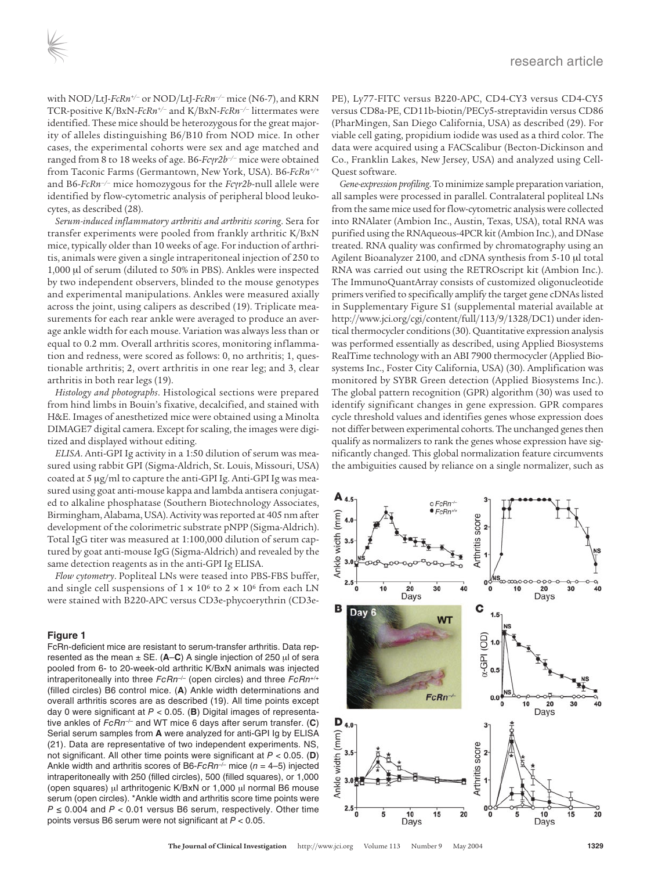with NOD/LtJ-*FcRn+/–* or NOD/LtJ-*FcRn–/–* mice (N6-7), and KRN TCR-positive K/BxN-*FcRn+/–* and K/BxN-*FcRn–/–* littermates were identified. These mice should be heterozygous for the great majority of alleles distinguishing B6/B10 from NOD mice. In other cases, the experimental cohorts were sex and age matched and ranged from 8 to 18 weeks of age. B6-*Fc*γ*r2b–/–* mice were obtained from Taconic Farms (Germantown, New York, USA). B6-*FcRn+/+* and B6-*FcRn–/–* mice homozygous for the *Fc*γ*r2b*-null allele were identified by flow-cytometric analysis of peripheral blood leukocytes, as described (28).

*Serum-induced inflammatory arthritis and arthritis scoring*. Sera for transfer experiments were pooled from frankly arthritic K/BxN mice, typically older than 10 weeks of age. For induction of arthritis, animals were given a single intraperitoneal injection of 250 to 1,000 μl of serum (diluted to 50% in PBS). Ankles were inspected by two independent observers, blinded to the mouse genotypes and experimental manipulations. Ankles were measured axially across the joint, using calipers as described (19). Triplicate measurements for each rear ankle were averaged to produce an average ankle width for each mouse. Variation was always less than or equal to 0.2 mm. Overall arthritis scores, monitoring inflammation and redness, were scored as follows: 0, no arthritis; 1, questionable arthritis; 2, overt arthritis in one rear leg; and 3, clear arthritis in both rear legs (19).

*Histology and photographs*. Histological sections were prepared from hind limbs in Bouin's fixative, decalcified, and stained with H&E. Images of anesthetized mice were obtained using a Minolta DIMAGE7 digital camera. Except for scaling, the images were digitized and displayed without editing.

*ELISA*. Anti-GPI Ig activity in a 1:50 dilution of serum was measured using rabbit GPI (Sigma-Aldrich, St. Louis, Missouri, USA) coated at 5 μg/ml to capture the anti-GPI Ig. Anti-GPI Ig was measured using goat anti-mouse kappa and lambda antisera conjugated to alkaline phosphatase (Southern Biotechnology Associates, Birmingham, Alabama, USA). Activity was reported at 405 nm after development of the colorimetric substrate pNPP (Sigma-Aldrich). Total IgG titer was measured at 1:100,000 dilution of serum captured by goat anti-mouse IgG (Sigma-Aldrich) and revealed by the same detection reagents as in the anti-GPI Ig ELISA.

*Flow cytometry*. Popliteal LNs were teased into PBS-FBS buffer, and single cell suspensions of  $1 \times 10^6$  to  $2 \times 10^6$  from each LN were stained with B220-APC versus CD3e-phycoerythrin (CD3e-

# **Figure 1**

FcRn-deficient mice are resistant to serum-transfer arthritis. Data represented as the mean ± SE. (**A**–**C**) A single injection of 250 μl of sera pooled from 6- to 20-week-old arthritic K/BxN animals was injected intraperitoneally into three  $FcRn^{-/-}$  (open circles) and three  $FcRn^{+/+}$ (filled circles) B6 control mice. (**A**) Ankle width determinations and overall arthritis scores are as described (19). All time points except day 0 were significant at P < 0.05. (**B**) Digital images of representative ankles of FcRn–/– and WT mice 6 days after serum transfer. (**C**) Serial serum samples from **A** were analyzed for anti-GPI Ig by ELISA (21). Data are representative of two independent experiments. NS, not significant. All other time points were significant at P < 0.05. (**D**) Ankle width and arthritis scores of B6- $FcRn^{-/-}$  mice (n = 4–5) injected intraperitoneally with 250 (filled circles), 500 (filled squares), or 1,000 (open squares) μl arthritogenic K/BxN or 1,000 μl normal B6 mouse serum (open circles). \*Ankle width and arthritis score time points were  $P \le 0.004$  and  $P < 0.01$  versus B6 serum, respectively. Other time points versus B6 serum were not significant at P < 0.05.

PE), Ly77-FITC versus B220-APC, CD4-CY3 versus CD4-CY5 versus CD8a-PE, CD11b-biotin/PECy5-streptavidin versus CD86 (PharMingen, San Diego California, USA) as described (29). For viable cell gating, propidium iodide was used as a third color. The data were acquired using a FACScalibur (Becton-Dickinson and Co., Franklin Lakes, New Jersey, USA) and analyzed using Cell-Quest software.

*Gene-expression profiling*.To minimize sample preparation variation, all samples were processed in parallel. Contralateral popliteal LNs from the same mice used for flow-cytometric analysis were collected into RNAlater (Ambion Inc., Austin, Texas, USA), total RNA was purified using the RNAqueous-4PCR kit (Ambion Inc.), and DNase treated. RNA quality was confirmed by chromatography using an Agilent Bioanalyzer 2100, and cDNA synthesis from 5-10 μl total RNA was carried out using the RETROscript kit (Ambion Inc.). The ImmunoQuantArray consists of customized oligonucleotide primers verified to specifically amplify the target gene cDNAs listed in Supplementary Figure S1 (supplemental material available at http://www.jci.org/cgi/content/full/113/9/1328/DC1) under identical thermocycler conditions (30). Quantitative expression analysis was performed essentially as described, using Applied Biosystems RealTime technology with an ABI 7900 thermocycler (Applied Biosystems Inc., Foster City California, USA) (30). Amplification was monitored by SYBR Green detection (Applied Biosystems Inc.). The global pattern recognition (GPR) algorithm (30) was used to identify significant changes in gene expression. GPR compares cycle threshold values and identifies genes whose expression does not differ between experimental cohorts. The unchanged genes then qualify as normalizers to rank the genes whose expression have significantly changed. This global normalization feature circumvents the ambiguities caused by reliance on a single normalizer, such as

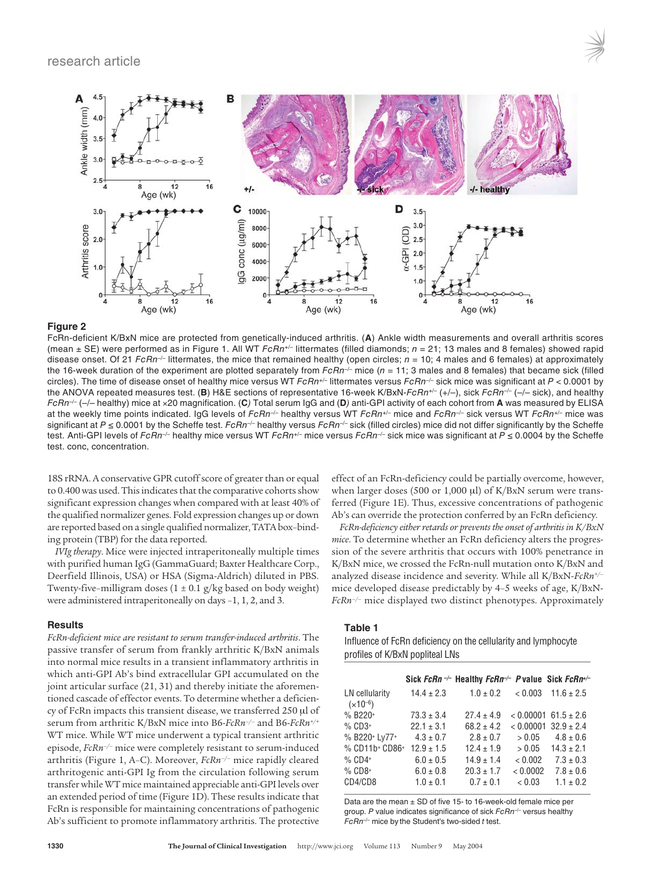



## **Figure 2**

FcRn-deficient K/BxN mice are protected from genetically-induced arthritis. (**A**) Ankle width measurements and overall arthritis scores (mean  $\pm$  SE) were performed as in Figure 1. All WT FcRn+/- littermates (filled diamonds;  $n = 21$ ; 13 males and 8 females) showed rapid disease onset. Of 21 FcRn<sup>-/-</sup> littermates, the mice that remained healthy (open circles;  $n = 10$ ; 4 males and 6 females) at approximately the 16-week duration of the experiment are plotted separately from  $FcRn^{-/-}$  mice (n = 11; 3 males and 8 females) that became sick (filled circles). The time of disease onset of healthy mice versus WT FcRn+/- littermates versus FcRn<sup>-/-</sup> sick mice was significant at  $P < 0.0001$  by the ANOVA repeated measures test. (**B**) H&E sections of representative 16-week K/BxN-FcRn+/– (+/–), sick FcRn–/– (–/– sick), and healthy FcRn–/– (–/– healthy) mice at ×20 magnification. (**C**) Total serum IgG and (**D**) anti-GPI activity of each cohort from **A** was measured by ELISA at the weekly time points indicated. IgG levels of FcRn<sup>-/-</sup> healthy versus WT FcRn<sup>+/-</sup> mice and FcRn<sup>-/-</sup> sick versus WT FcRn<sup>+/-</sup> mice was significant at  $P \le 0.0001$  by the Scheffe test. FcRn<sup>-/-</sup> healthy versus FcRn<sup>-/-</sup> sick (filled circles) mice did not differ significantly by the Scheffe test. Anti-GPI levels of FcRn<sup>-/-</sup> healthy mice versus WT FcRn<sup>+/-</sup> mice versus FcRn<sup>-/-</sup> sick mice was significant at P ≤ 0.0004 by the Scheffe test. conc, concentration.

18S rRNA. A conservative GPR cutoff score of greater than or equal to 0.400 was used. This indicates that the comparative cohorts show significant expression changes when compared with at least 40% of the qualified normalizer genes. Fold expression changes up or down are reported based on a single qualified normalizer, TATA box–binding protein (TBP) for the data reported.

*IVIg therapy*. Mice were injected intraperitoneally multiple times with purified human IgG (GammaGuard; Baxter Healthcare Corp., Deerfield Illinois, USA) or HSA (Sigma-Aldrich) diluted in PBS. Twenty-five–milligram doses  $(1 \pm 0.1 \text{ g/kg}$  based on body weight) were administered intraperitoneally on days –1, 1, 2, and 3.

#### **Results**

*FcRn-deficient mice are resistant to serum transfer-induced arthritis*. The passive transfer of serum from frankly arthritic K/BxN animals into normal mice results in a transient inflammatory arthritis in which anti-GPI Ab's bind extracellular GPI accumulated on the joint articular surface (21, 31) and thereby initiate the aforementioned cascade of effector events. To determine whether a deficiency of FcRn impacts this transient disease, we transferred 250 μl of serum from arthritic K/BxN mice into B6-*FcRn–/–* and B6-*FcRn+/+* WT mice. While WT mice underwent a typical transient arthritic episode, *FcRn–/–* mice were completely resistant to serum-induced arthritis (Figure 1, A–C). Moreover, *FcRn–/–* mice rapidly cleared arthritogenic anti-GPI Ig from the circulation following serum transfer while WT mice maintained appreciable anti-GPI levels over an extended period of time (Figure 1D). These results indicate that FcRn is responsible for maintaining concentrations of pathogenic Ab's sufficient to promote inflammatory arthritis. The protective

effect of an FcRn-deficiency could be partially overcome, however, when larger doses (500 or 1,000 μl) of K/BxN serum were transferred (Figure 1E). Thus, excessive concentrations of pathogenic Ab's can override the protection conferred by an FcRn deficiency.

*FcRn-deficiency either retards or prevents the onset of arthritis in K/BxN mice*. To determine whether an FcRn deficiency alters the progression of the severe arthritis that occurs with 100% penetrance in K/BxN mice, we crossed the FcRn-null mutation onto K/BxN and analyzed disease incidence and severity. While all K/BxN-*FcRn+/–* mice developed disease predictably by 4–5 weeks of age, K/BxN-*FcRn–/–* mice displayed two distinct phenotypes. Approximately

# **Table 1**

Influence of FcRn deficiency on the cellularity and lymphocyte profiles of K/BxN popliteal LNs

|                                |                | Sick FcRn $\neg$ Healthy FcRn $\neg$ Pvalue Sick FcRn $\neg$ |          |                            |
|--------------------------------|----------------|--------------------------------------------------------------|----------|----------------------------|
| LN cellularity<br>$(x10^{-6})$ | $14.4 \pm 2.3$ | $1.0 \pm 0.2$                                                | < 0.003  | $11.6 \pm 2.5$             |
| $% B220+$                      | $73.3 \pm 3.4$ | $27.4 \pm 4.9$                                               |          | $< 0.00001$ 61.5 $\pm$ 2.6 |
| $%$ CD3+                       | $22.1 \pm 3.1$ | $68.2 \pm 4.2$                                               |          | $< 0.00001$ 32.9 $\pm$ 2.4 |
| % B220+ Ly77+                  | $4.3 \pm 0.7$  | $2.8 \pm 0.7$                                                | > 0.05   | $4.8 \pm 0.6$              |
| % CD11b+ CD86+                 | $12.9 \pm 1.5$ | $12.4 \pm 1.9$                                               | > 0.05   | $14.3 \pm 2.1$             |
| $%$ CD4+                       | $6.0 \pm 0.5$  | $14.9 \pm 1.4$                                               | < 0.002  | $7.3 \pm 0.3$              |
| $%$ CD8+                       | $6.0 \pm 0.8$  | $20.3 \pm 1.7$                                               | < 0.0002 | $7.8 \pm 0.6$              |
| CD4/CD8                        | $1.0 \pm 0.1$  | $0.7 \pm 0.1$                                                | < 0.03   | $1.1 \pm 0.2$              |

Data are the mean  $\pm$  SD of five 15- to 16-week-old female mice per group. P value indicates significance of sick  $FcRn^{-/-}$  versus healthy  $FcRn^{-/-}$  mice by the Student's two-sided  $t$  test.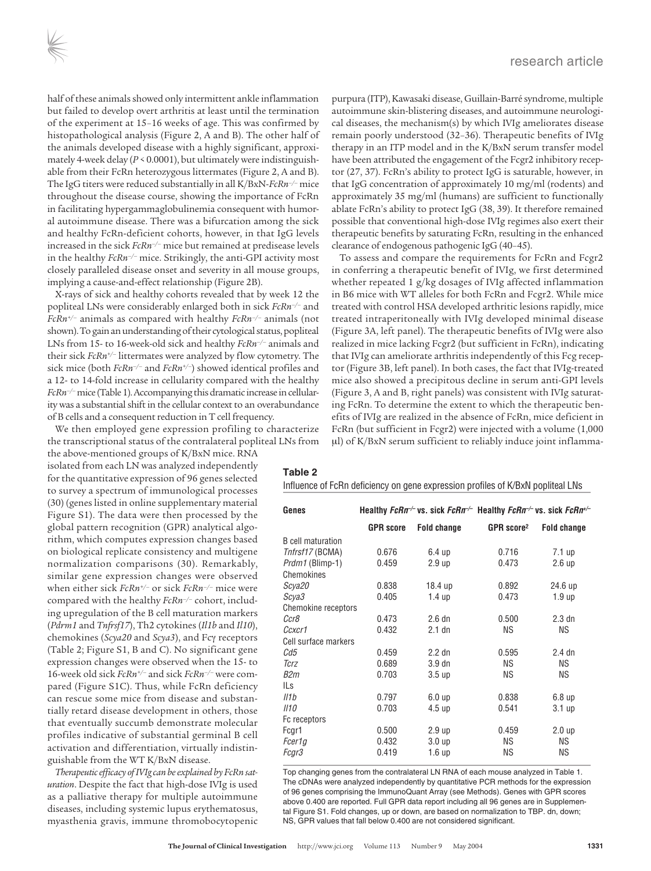half of these animals showed only intermittent ankle inflammation but failed to develop overt arthritis at least until the termination of the experiment at 15–16 weeks of age. This was confirmed by histopathological analysis (Figure 2, A and B). The other half of the animals developed disease with a highly significant, approximately 4-week delay (*P* < 0.0001), but ultimately were indistinguishable from their FcRn heterozygous littermates (Figure 2, A and B). The IgG titers were reduced substantially in all K/BxN-*FcRn–/–* mice throughout the disease course, showing the importance of FcRn in facilitating hypergammaglobulinemia consequent with humoral autoimmune disease. There was a bifurcation among the sick and healthy FcRn-deficient cohorts, however, in that IgG levels increased in the sick *FcRn–/–* mice but remained at predisease levels in the healthy *FcRn–/–* mice. Strikingly, the anti-GPI activity most closely paralleled disease onset and severity in all mouse groups, implying a cause-and-effect relationship (Figure 2B).

X-rays of sick and healthy cohorts revealed that by week 12 the popliteal LNs were considerably enlarged both in sick *FcRn–/–* and *FcRn+/–* animals as compared with healthy *FcRn–/–* animals (not shown). To gain an understanding of their cytological status, popliteal LNs from 15- to 16-week-old sick and healthy *FcRn–/–* animals and their sick *FcRn+/–* littermates were analyzed by flow cytometry. The sick mice (both *FcRn–/–* and *FcRn+/–*) showed identical profiles and a 12- to 14-fold increase in cellularity compared with the healthy *FcRn–/–* mice (Table 1). Accompanying this dramatic increase in cellularity was a substantial shift in the cellular context to an overabundance of B cells and a consequent reduction in T cell frequency.

We then employed gene expression profiling to characterize the transcriptional status of the contralateral popliteal LNs from

the above-mentioned groups of K/BxN mice. RNA isolated from each LN was analyzed independently for the quantitative expression of 96 genes selected to survey a spectrum of immunological processes (30) (genes listed in online supplementary material Figure S1). The data were then processed by the global pattern recognition (GPR) analytical algorithm, which computes expression changes based on biological replicate consistency and multigene normalization comparisons (30). Remarkably, similar gene expression changes were observed when either sick *FcRn+/–* or sick *FcRn–/–* mice were compared with the healthy *FcRn–/–* cohort, including upregulation of the B cell maturation markers (*Pdrm1* and *Tnfrsf17*), Th2 cytokines (*Il1b* and *Il10*), chemokines (*Scya20* and *Scya3*), and Fcγ receptors (Table 2; Figure S1, B and C). No significant gene expression changes were observed when the 15- to 16-week old sick *FcRn+/–* and sick *FcRn–/–* were compared (Figure S1C). Thus, while FcRn deficiency can rescue some mice from disease and substantially retard disease development in others, those that eventually succumb demonstrate molecular profiles indicative of substantial germinal B cell activation and differentiation, virtually indistinguishable from the WT K/BxN disease.

*Therapeutic efficacy of IVIg can be explained by FcRn saturation*. Despite the fact that high-dose IVIg is used as a palliative therapy for multiple autoimmune diseases, including systemic lupus erythematosus, myasthenia gravis, immune thromobocytopenic

purpura (ITP), Kawasaki disease, Guillain-Barré syndrome, multiple autoimmune skin-blistering diseases, and autoimmune neurological diseases, the mechanism(s) by which IVIg ameliorates disease remain poorly understood (32–36). Therapeutic benefits of IVIg therapy in an ITP model and in the K/BxN serum transfer model have been attributed the engagement of the Fcgr2 inhibitory receptor (27, 37). FcRn's ability to protect IgG is saturable, however, in that IgG concentration of approximately 10 mg/ml (rodents) and approximately 35 mg/ml (humans) are sufficient to functionally ablate FcRn's ability to protect IgG (38, 39). It therefore remained possible that conventional high-dose IVIg regimes also exert their therapeutic benefits by saturating FcRn, resulting in the enhanced clearance of endogenous pathogenic IgG (40–45).

To assess and compare the requirements for FcRn and Fcgr2 in conferring a therapeutic benefit of IVIg, we first determined whether repeated 1 g/kg dosages of IVIg affected inflammation in B6 mice with WT alleles for both FcRn and Fcgr2. While mice treated with control HSA developed arthritic lesions rapidly, mice treated intraperitoneally with IVIg developed minimal disease (Figure 3A, left panel). The therapeutic benefits of IVIg were also realized in mice lacking Fcgr2 (but sufficient in FcRn), indicating that IVIg can ameliorate arthritis independently of this Fcg receptor (Figure 3B, left panel). In both cases, the fact that IVIg-treated mice also showed a precipitous decline in serum anti-GPI levels (Figure 3, A and B, right panels) was consistent with IVIg saturating FcRn. To determine the extent to which the therapeutic benefits of IVIg are realized in the absence of FcRn, mice deficient in FcRn (but sufficient in Fcgr2) were injected with a volume (1,000 μl) of K/BxN serum sufficient to reliably induce joint inflamma-

#### **Table 2**

Influence of FcRn deficiency on gene expression profiles of K/BxN popliteal LNs

| Genes                    |                  | Healthy FcRn <sup>-/-</sup> vs. sick FcRn <sup>-/-</sup> Healthy FcRn <sup>-/-</sup> vs. sick FcRn <sup>+/-</sup> |                        |                    |
|--------------------------|------------------|-------------------------------------------------------------------------------------------------------------------|------------------------|--------------------|
|                          | <b>GPR</b> score | Fold change                                                                                                       | GPR score <sup>2</sup> | <b>Fold change</b> |
| <b>B</b> cell maturation |                  |                                                                                                                   |                        |                    |
| Tnfrsf17 (BCMA)          | 0.676            | 6.4 <sub>up</sub>                                                                                                 | 0.716                  | 7.1 up             |
| Prdm1 (Blimp-1)          | 0.459            | 2.9 <sub>up</sub>                                                                                                 | 0.473                  | 2.6 <sub>up</sub>  |
| Chemokines               |                  |                                                                                                                   |                        |                    |
| Scya <sub>20</sub>       | 0.838            | 18.4 up                                                                                                           | 0.892                  | 24.6 up            |
| Scya3                    | 0.405            | 1.4 <sub>up</sub>                                                                                                 | 0.473                  | 1.9 <sub>up</sub>  |
| Chemokine receptors      |                  |                                                                                                                   |                        |                    |
| Ccr8                     | 0.473            | 2.6 <sub>dn</sub>                                                                                                 | 0.500                  | $2.3$ dn           |
| Ccxcr1                   | 0.432            | $2.1$ dn                                                                                                          | <b>NS</b>              | ΝS                 |
| Cell surface markers     |                  |                                                                                                                   |                        |                    |
| Cd5                      | 0.459            | $2.2$ dn                                                                                                          | 0.595                  | $2.4$ dn           |
| Tcrz                     | 0.689            | 3.9 <sub>dn</sub>                                                                                                 | <b>NS</b>              | ΝS                 |
| B2m                      | 0.703            | 3.5 <sub>up</sub>                                                                                                 | <b>NS</b>              | ΝS                 |
| ILs                      |                  |                                                                                                                   |                        |                    |
| Il1b                     | 0.797            | 6.0 <sub>up</sub>                                                                                                 | 0.838                  | 6.8 <sub>up</sub>  |
| II10                     | 0.703            | 4.5 <sub>up</sub>                                                                                                 | 0.541                  | 3.1 <sub>up</sub>  |
| Fc receptors             |                  |                                                                                                                   |                        |                    |
| Fcgr1                    | 0.500            | 2.9 <sub>up</sub>                                                                                                 | 0.459                  | 2.0 <sub>up</sub>  |
| Fcer1q                   | 0.432            | 3.0 <sub>up</sub>                                                                                                 | <b>NS</b>              | ΝS                 |
| Fcar3                    | 0.419            | 1.6 <sub>up</sub>                                                                                                 | ΝS                     | ΝS                 |

Top changing genes from the contralateral LN RNA of each mouse analyzed in Table 1. The cDNAs were analyzed independently by quantitative PCR methods for the expression of 96 genes comprising the ImmunoQuant Array (see Methods). Genes with GPR scores above 0.400 are reported. Full GPR data report including all 96 genes are in Supplemental Figure S1. Fold changes, up or down, are based on normalization to TBP. dn, down; NS, GPR values that fall below 0.400 are not considered significant.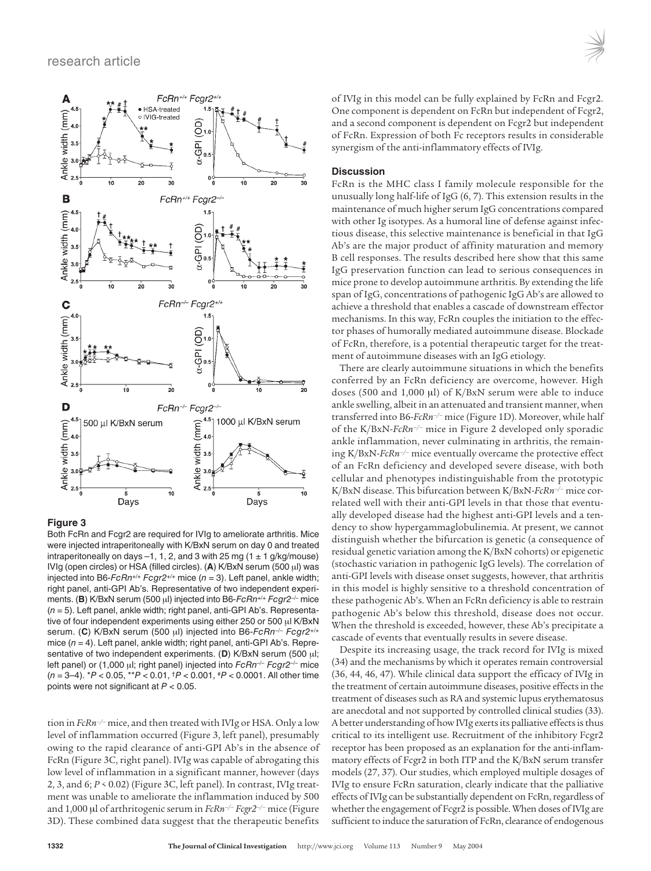

# **Figure 3**

Both FcRn and Fcgr2 are required for IVIg to ameliorate arthritis. Mice were injected intraperitoneally with K/BxN serum on day 0 and treated intraperitoneally on days  $-1$ , 1, 2, and 3 with 25 mg (1  $\pm$  1 g/kg/mouse) IVIg (open circles) or HSA (filled circles). (**A**) K/BxN serum (500 μl) was injected into B6- $FcRn^{+/+}Fcqr2^{+/+}$  mice ( $n = 3$ ). Left panel, ankle width; right panel, anti-GPI Ab's. Representative of two independent experiments. (**B**) K/BxN serum (500 μl) injected into B6-FcRn<sup>+/+</sup> Fcgr2<sup>-/-</sup> mice  $(n = 5)$ . Left panel, ankle width; right panel, anti-GPI Ab's. Representative of four independent experiments using either 250 or 500 μl K/BxN serum. (**C**) K/BxN serum (500 μl) injected into B6-FcRn–/– Fcgr2+/+ mice  $(n = 4)$ . Left panel, ankle width; right panel, anti-GPI Ab's. Representative of two independent experiments. (**D**) K/BxN serum (500 μl; left panel) or (1,000 μl; right panel) injected into  $FcRn^{-/-}Fcgr2^{-/-}$  mice  $(n = 3-4)$ . \* $P < 0.05$ , \*\* $P < 0.01$ ,  $\frac{1}{7}P < 0.001$ ,  $\frac{1}{7}P < 0.0001$ . All other time points were not significant at  $P < 0.05$ .

tion in *FcRn–/–* mice, and then treated with IVIg or HSA. Only a low level of inflammation occurred (Figure 3, left panel), presumably owing to the rapid clearance of anti-GPI Ab's in the absence of FcRn (Figure 3C, right panel). IVIg was capable of abrogating this low level of inflammation in a significant manner, however (days 2, 3, and 6; *P* < 0.02) (Figure 3C, left panel). In contrast, IVIg treatment was unable to ameliorate the inflammation induced by 500 and 1,000 μl of arthritogenic serum in *FcRn–/– Fcgr2–/–* mice (Figure 3D). These combined data suggest that the therapeutic benefits

of IVIg in this model can be fully explained by FcRn and Fcgr2. One component is dependent on FcRn but independent of Fcgr2, and a second component is dependent on Fcgr2 but independent of FcRn. Expression of both Fc receptors results in considerable synergism of the anti-inflammatory effects of IVIg.

## **Discussion**

FcRn is the MHC class I family molecule responsible for the unusually long half-life of IgG (6, 7). This extension results in the maintenance of much higher serum IgG concentrations compared with other Ig isotypes. As a humoral line of defense against infectious disease, this selective maintenance is beneficial in that IgG Ab's are the major product of affinity maturation and memory B cell responses. The results described here show that this same IgG preservation function can lead to serious consequences in mice prone to develop autoimmune arthritis. By extending the life span of IgG, concentrations of pathogenic IgG Ab's are allowed to achieve a threshold that enables a cascade of downstream effector mechanisms. In this way, FcRn couples the initiation to the effector phases of humorally mediated autoimmune disease. Blockade of FcRn, therefore, is a potential therapeutic target for the treatment of autoimmune diseases with an IgG etiology.

There are clearly autoimmune situations in which the benefits conferred by an FcRn deficiency are overcome, however. High doses (500 and 1,000 μl) of K/BxN serum were able to induce ankle swelling, albeit in an attenuated and transient manner, when transferred into B6-*FcRn–/–* mice (Figure 1D). Moreover, while half of the K/BxN-*FcRn–/–* mice in Figure 2 developed only sporadic ankle inflammation, never culminating in arthritis, the remaining K/BxN-*FcRn–/–* mice eventually overcame the protective effect of an FcRn deficiency and developed severe disease, with both cellular and phenotypes indistinguishable from the prototypic K/BxN disease. This bifurcation between K/BxN-*FcRn–/–* mice correlated well with their anti-GPI levels in that those that eventually developed disease had the highest anti-GPI levels and a tendency to show hypergammaglobulinemia. At present, we cannot distinguish whether the bifurcation is genetic (a consequence of residual genetic variation among the K/BxN cohorts) or epigenetic (stochastic variation in pathogenic IgG levels). The correlation of anti-GPI levels with disease onset suggests, however, that arthritis in this model is highly sensitive to a threshold concentration of these pathogenic Ab's. When an FcRn deficiency is able to restrain pathogenic Ab's below this threshold, disease does not occur. When the threshold is exceeded, however, these Ab's precipitate a cascade of events that eventually results in severe disease.

Despite its increasing usage, the track record for IVIg is mixed (34) and the mechanisms by which it operates remain controversial (36, 44, 46, 47). While clinical data support the efficacy of IVIg in the treatment of certain autoimmune diseases, positive effects in the treatment of diseases such as RA and systemic lupus erythematosus are anecdotal and not supported by controlled clinical studies (33). A better understanding of how IVIg exerts its palliative effects is thus critical to its intelligent use. Recruitment of the inhibitory Fcgr2 receptor has been proposed as an explanation for the anti-inflammatory effects of Fcgr2 in both ITP and the K/BxN serum transfer models (27, 37). Our studies, which employed multiple dosages of IVIg to ensure FcRn saturation, clearly indicate that the palliative effects of IVIg can be substantially dependent on FcRn, regardless of whether the engagement of Fcgr2 is possible. When doses of IVIg are sufficient to induce the saturation of FcRn, clearance of endogenous